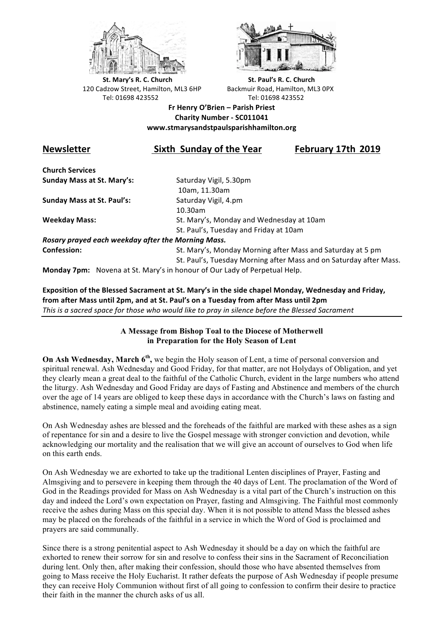



**St.** Mary's R. C. Church St. Paul's R. C. Church 120 Cadzow Street, Hamilton, ML3 6HP Backmuir Road, Hamilton, ML3 0PX Tel: 01698 423552 Tel: 01698 423552

## **Fr Henry O'Brien – Parish Priest Charity Number - SC011041 www.stmarysandstpaulsparishhamilton.org**

## **Newsletter Sixth Sunday of the Year February 17th 2019**

**Church Services Sunday Mass at St. Mary's:** Saturday Vigil, 5.30pm

**Sunday Mass at St. Paul's:** Saturday Vigil, 4.pm

 10am, 11.30am 10.30am **Weekday Mass:** St. Mary's, Monday and Wednesday at 10am St. Paul's, Tuesday and Friday at 10am

*Rosary prayed each weekday after the Morning Mass.* **Confession:** St. Mary's, Monday Morning after Mass and Saturday at 5 pm

St. Paul's, Tuesday Morning after Mass and on Saturday after Mass.

**Monday 7pm:** Novena at St. Mary's in honour of Our Lady of Perpetual Help.

Exposition of the Blessed Sacrament at St. Mary's in the side chapel Monday, Wednesday and Friday, from after Mass until 2pm, and at St. Paul's on a Tuesday from after Mass until 2pm This is a sacred space for those who would like to pray in silence before the Blessed Sacrament

## **A Message from Bishop Toal to the Diocese of Motherwell in Preparation for the Holy Season of Lent**

**On Ash Wednesday, March 6th,** we begin the Holy season of Lent, a time of personal conversion and spiritual renewal. Ash Wednesday and Good Friday, for that matter, are not Holydays of Obligation, and yet they clearly mean a great deal to the faithful of the Catholic Church, evident in the large numbers who attend the liturgy. Ash Wednesday and Good Friday are days of Fasting and Abstinence and members of the church over the age of 14 years are obliged to keep these days in accordance with the Church's laws on fasting and abstinence, namely eating a simple meal and avoiding eating meat.

On Ash Wednesday ashes are blessed and the foreheads of the faithful are marked with these ashes as a sign of repentance for sin and a desire to live the Gospel message with stronger conviction and devotion, while acknowledging our mortality and the realisation that we will give an account of ourselves to God when life on this earth ends.

On Ash Wednesday we are exhorted to take up the traditional Lenten disciplines of Prayer, Fasting and Almsgiving and to persevere in keeping them through the 40 days of Lent. The proclamation of the Word of God in the Readings provided for Mass on Ash Wednesday is a vital part of the Church's instruction on this day and indeed the Lord's own expectation on Prayer, fasting and Almsgiving. The Faithful most commonly receive the ashes during Mass on this special day. When it is not possible to attend Mass the blessed ashes may be placed on the foreheads of the faithful in a service in which the Word of God is proclaimed and prayers are said communally.

Since there is a strong penitential aspect to Ash Wednesday it should be a day on which the faithful are exhorted to renew their sorrow for sin and resolve to confess their sins in the Sacrament of Reconciliation during lent. Only then, after making their confession, should those who have absented themselves from going to Mass receive the Holy Eucharist. It rather defeats the purpose of Ash Wednesday if people presume they can receive Holy Communion without first of all going to confession to confirm their desire to practice their faith in the manner the church asks of us all.